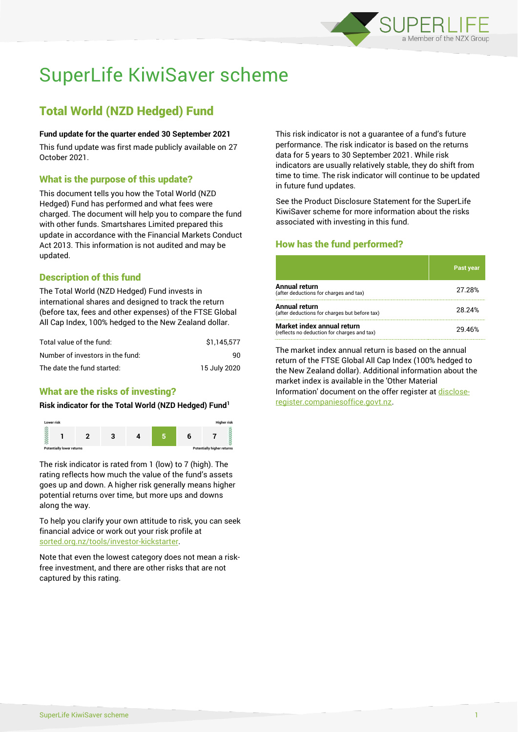

# SuperLife KiwiSaver scheme

# Total World (NZD Hedged) Fund

#### **Fund update for the quarter ended 30 September 2021**

This fund update was first made publicly available on 27 October 2021.

# What is the purpose of this update?

This document tells you how the Total World (NZD Hedged) Fund has performed and what fees were charged. The document will help you to compare the fund with other funds. Smartshares Limited prepared this update in accordance with the Financial Markets Conduct Act 2013. This information is not audited and may be updated.

# Description of this fund

The Total World (NZD Hedged) Fund invests in international shares and designed to track the return (before tax, fees and other expenses) of the FTSE Global All Cap Index, 100% hedged to the New Zealand dollar.

| Total value of the fund:         | \$1.145.577  |
|----------------------------------|--------------|
| Number of investors in the fund: | 90           |
| The date the fund started:       | 15 July 2020 |

# What are the risks of investing?

#### **Risk indicator for the Total World (NZD Hedged) Fund<sup>1</sup>**



The risk indicator is rated from 1 (low) to 7 (high). The rating reflects how much the value of the fund's assets goes up and down. A higher risk generally means higher potential returns over time, but more ups and downs along the way.

To help you clarify your own attitude to risk, you can seek financial advice or work out your risk profile at [sorted.org.nz/tools/investor-kickstarter.](http://www.sorted.org.nz/tools/investor-kickstarter)

Note that even the lowest category does not mean a riskfree investment, and there are other risks that are not captured by this rating.

This risk indicator is not a guarantee of a fund's future performance. The risk indicator is based on the returns data for 5 years to 30 September 2021. While risk indicators are usually relatively stable, they do shift from time to time. The risk indicator will continue to be updated in future fund updates.

See the Product Disclosure Statement for the SuperLife KiwiSaver scheme for more information about the risks associated with investing in this fund.

# How has the fund performed?

|                                                                           | Past year |
|---------------------------------------------------------------------------|-----------|
| Annual return<br>(after deductions for charges and tax)                   | 27.28%    |
| Annual return<br>(after deductions for charges but before tax)            | 28.24%    |
| Market index annual return<br>(reflects no deduction for charges and tax) | 29.46%    |

The market index annual return is based on the annual return of the FTSE Global All Cap Index (100% hedged to the New Zealand dollar). Additional information about the market index is available in the 'Other Material Information' document on the offer register a[t disclose](http://www.disclose-register.companiesoffice.govt.nz/)[register.companiesoffice.govt.nz.](http://www.disclose-register.companiesoffice.govt.nz/)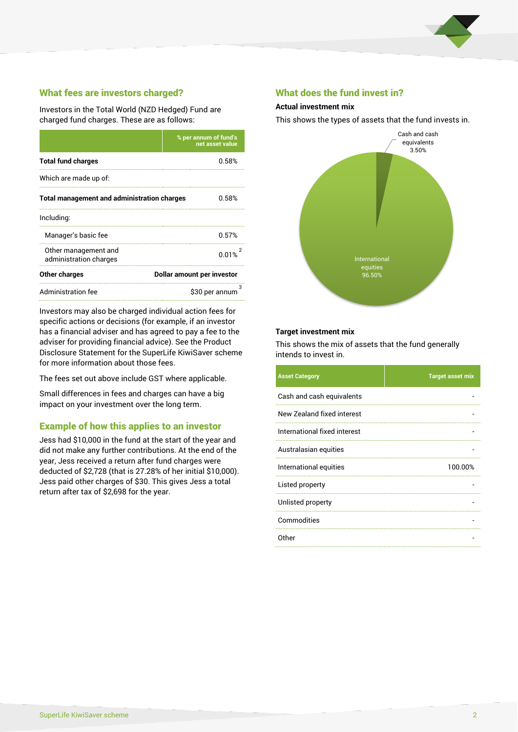

# What fees are investors charged?

Investors in the Total World (NZD Hedged) Fund are charged fund charges. These are as follows:

|                                                    | % per annum of fund's<br>net asset value |  |
|----------------------------------------------------|------------------------------------------|--|
| <b>Total fund charges</b>                          | 0.58%                                    |  |
| Which are made up of:                              |                                          |  |
| <b>Total management and administration charges</b> | 0.58%                                    |  |
| Including:                                         |                                          |  |
| Manager's basic fee                                | 0.57%                                    |  |
| Other management and<br>administration charges     | 0.01%                                    |  |
| Other charges                                      | Dollar amount per investor               |  |
| Administration fee                                 | з<br>\$30 per annum                      |  |

Investors may also be charged individual action fees for specific actions or decisions (for example, if an investor has a financial adviser and has agreed to pay a fee to the adviser for providing financial advice). See the Product Disclosure Statement for the SuperLife KiwiSaver scheme for more information about those fees.

The fees set out above include GST where applicable.

Small differences in fees and charges can have a big impact on your investment over the long term.

## Example of how this applies to an investor

Jess had \$10,000 in the fund at the start of the year and did not make any further contributions. At the end of the year, Jess received a return after fund charges were deducted of \$2,728 (that is 27.28% of her initial \$10,000). Jess paid other charges of \$30. This gives Jess a total return after tax of \$2,698 for the year.

### What does the fund invest in?

#### **Actual investment mix**

This shows the types of assets that the fund invests in.



#### **Target investment mix**

This shows the mix of assets that the fund generally intends to invest in.

| <b>Asset Category</b>        | <b>Target asset mix</b> |
|------------------------------|-------------------------|
| Cash and cash equivalents    |                         |
| New Zealand fixed interest   |                         |
| International fixed interest |                         |
| Australasian equities        |                         |
| International equities       | 100.00%                 |
| Listed property              |                         |
| Unlisted property            |                         |
| Commodities                  |                         |
| Other                        |                         |